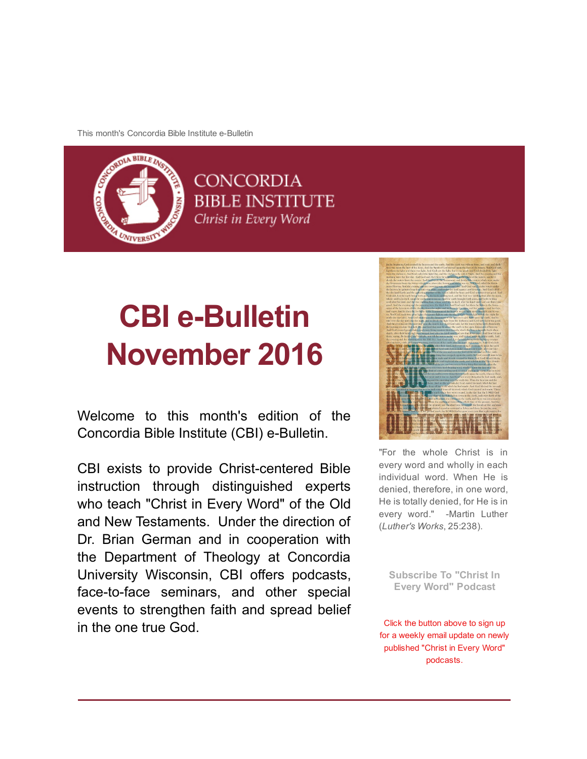This month's Concordia Bible Institute e-Bulletin



# **CBI e-Bulletin** November 2016

Welcome to this month's edition of the Concordia Bible Institute (CBI) e-Bulletin.

CBI exists to provide Christ-centered Bible instruction through distinguished experts who teach "Christ in Every Word" of the Old and New Testaments. Under the direction of Dr. Brian German and in cooperation with the Department of Theology at Concordia University Wisconsin, CBI offers podcasts, face-to-face seminars, and other special events to strengthen faith and spread belief in the one true God.



"For the whole Christ is in every word and wholly in each individual word. When He is denied, therefore, in one word, He is totally denied, for He is in every word." -Martin Luther (*Luther's Works*, 25:238).

[Subscribe To "Christ In](http://subscribebyemail.com/www.concordiabible.org/feed/podcast/) Every Word" Podcast

Click the button above to sign up for a weekly email update on newly published "Christ in Every Word" podcasts.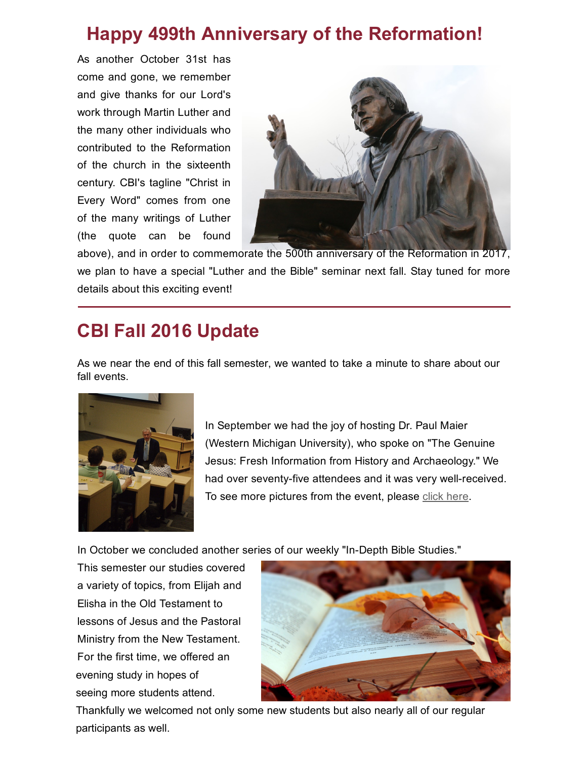# Happy 499th Anniversary of the Reformation!

As another October 31st has come and gone, we remember and give thanks for our Lord's work through Martin Luther and the many other individuals who contributed to the Reformation of the church in the sixteenth century. CBI's tagline "Christ in Every Word" comes from one of the many writings of Luther (the quote can be found



above), and in order to commemorate the 500th anniversary of the Reformation in 2017, we plan to have a special "Luther and the Bible" seminar next fall. Stay tuned for more details about this exciting event!

# CBI Fall 2016 Update

As we near the end of this fall semester, we wanted to take a minute to share about our fall events.



In September we had the joy of hosting Dr. Paul Maier (Western Michigan University), who spoke on "The Genuine Jesus: Fresh Information from History and Archaeology." We had over seventy-five attendees and it was very well-received. To see more pictures from the event, please [click here](http://www.concordiabible.org/2016/10/18/pictures-dr-paul-maier-seminar/).

In October we concluded another series of our weekly "In-Depth Bible Studies."

This semester our studies covered a variety of topics, from Elijah and Elisha in the Old Testament to lessons of Jesus and the Pastoral Ministry from the New Testament. For the first time, we offered an evening study in hopes of seeing more students attend.



Thankfully we welcomed not only some new students but also nearly all of our regular participants as well.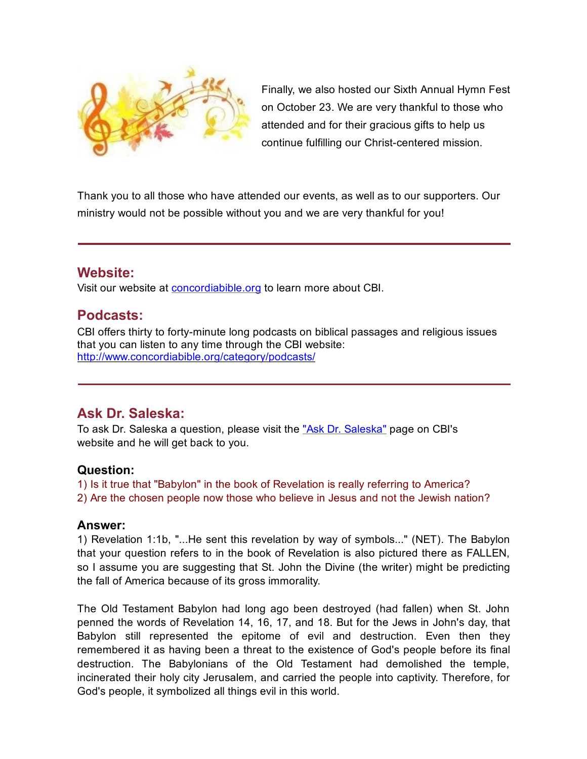

Finally, we also hosted our Sixth Annual Hymn Fest on October 23. We are very thankful to those who attended and for their gracious gifts to help us continue fulfilling our Christ-centered mission.

Thank you to all those who have attended our events, as well as to our supporters. Our ministry would not be possible without you and we are very thankful for you!

### Website:

Visit our website at [concordiabible.org](http://www.concordiabible.org/) to learn more about CBI.

# Podcasts:

CBI offers thirty to forty-minute long podcasts on biblical passages and religious issues that you can listen to any time through the CBI website: <http://www.concordiabible.org/category/podcasts/>

## Ask Dr. Saleska:

To ask Dr. Saleska a question, please visit the ["Ask Dr. Saleska"](http://www.concordiabible.org/ask-dr-saleska/) page on CBI's website and he will get back to you.

### Question:

1) Is it true that "Babylon" in the book of Revelation is really referring to America? 2) Are the chosen people now those who believe in Jesus and not the Jewish nation?

### Answer:

1) Revelation 1:1b, "...He sent this revelation by way of symbols..." (NET). The Babylon that your question refers to in the book of Revelation is also pictured there as FALLEN, so I assume you are suggesting that St. John the Divine (the writer) might be predicting the fall of America because of its gross immorality.

The Old Testament Babylon had long ago been destroyed (had fallen) when St. John penned the words of Revelation 14, 16, 17, and 18. But for the Jews in John's day, that Babylon still represented the epitome of evil and destruction. Even then they remembered it as having been a threat to the existence of God's people before its final destruction. The Babylonians of the Old Testament had demolished the temple, incinerated their holy city Jerusalem, and carried the people into captivity. Therefore, for God's people, it symbolized all things evil in this world.